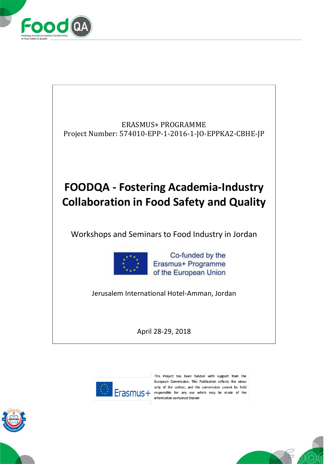





This Project has been funded with support from the European Commission. This Publication reflects the views only of the author, and the commission cannot be held Erasmus+ responsible for any use which may be made of the information contained therein



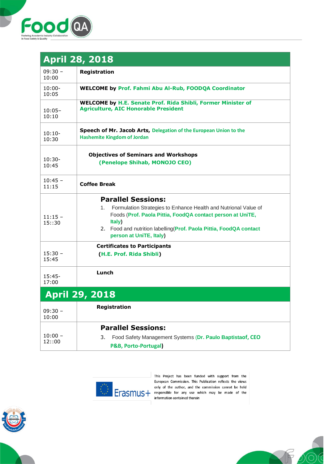

| <b>April 28, 2018</b> |                                                                                                                                                                                                                                                                              |
|-----------------------|------------------------------------------------------------------------------------------------------------------------------------------------------------------------------------------------------------------------------------------------------------------------------|
| $09:30 -$<br>10:00    | Registration                                                                                                                                                                                                                                                                 |
| $10:00 -$<br>10:05    | <b>WELCOME by Prof. Fahmi Abu Al-Rub, FOODQA Coordinator</b>                                                                                                                                                                                                                 |
| $10:05-$<br>10:10     | <b>WELCOME by H.E. Senate Prof. Rida Shibli, Former Minister of</b><br><b>Agriculture, AIC Honorable President</b>                                                                                                                                                           |
| $10:10-$<br>10:30     | Speech of Mr. Jacob Arts, Delegation of the European Union to the<br><b>Hashemite Kingdom of Jordan</b>                                                                                                                                                                      |
| $10:30-$<br>10:45     | <b>Objectives of Seminars and Workshops</b><br>(Penelope Shihab, MONOJO CEO)                                                                                                                                                                                                 |
| $10:45 -$<br>11:15    | <b>Coffee Break</b>                                                                                                                                                                                                                                                          |
| $11:15 -$<br>15::30   | <b>Parallel Sessions:</b><br>Formulation Strategies to Enhance Health and Nutrional Value of<br>1.<br>Foods (Prof. Paola Pittia, FoodQA contact person at UniTE,<br>Italy)<br>2. Food and nutrition labelling (Prof. Paola Pittia, FoodQA contact<br>person at UniTE, Italy) |
| $15:30 -$<br>15:45    | <b>Certificates to Participants</b><br>(H.E. Prof. Rida Shibli)                                                                                                                                                                                                              |
| $15:45-$<br>17:00     | Lunch                                                                                                                                                                                                                                                                        |
| <b>April 29, 2018</b> |                                                                                                                                                                                                                                                                              |
| $09:30 -$<br>10:00    | Registration                                                                                                                                                                                                                                                                 |
| $10:00 -$<br>12::00   | <b>Parallel Sessions:</b><br>Food Safety Management Systems (Dr. Paulo Baptistaof, CEO<br>3.<br><b>P&amp;B, Porto-Portugal)</b>                                                                                                                                              |



This Project has been funded with support from the European Commission. This Publication reflects the views ELITOPEAN CHIRISSION. This Publication Fenects the Views<br>only of the author, and the commission cannot be held<br>information contained therein